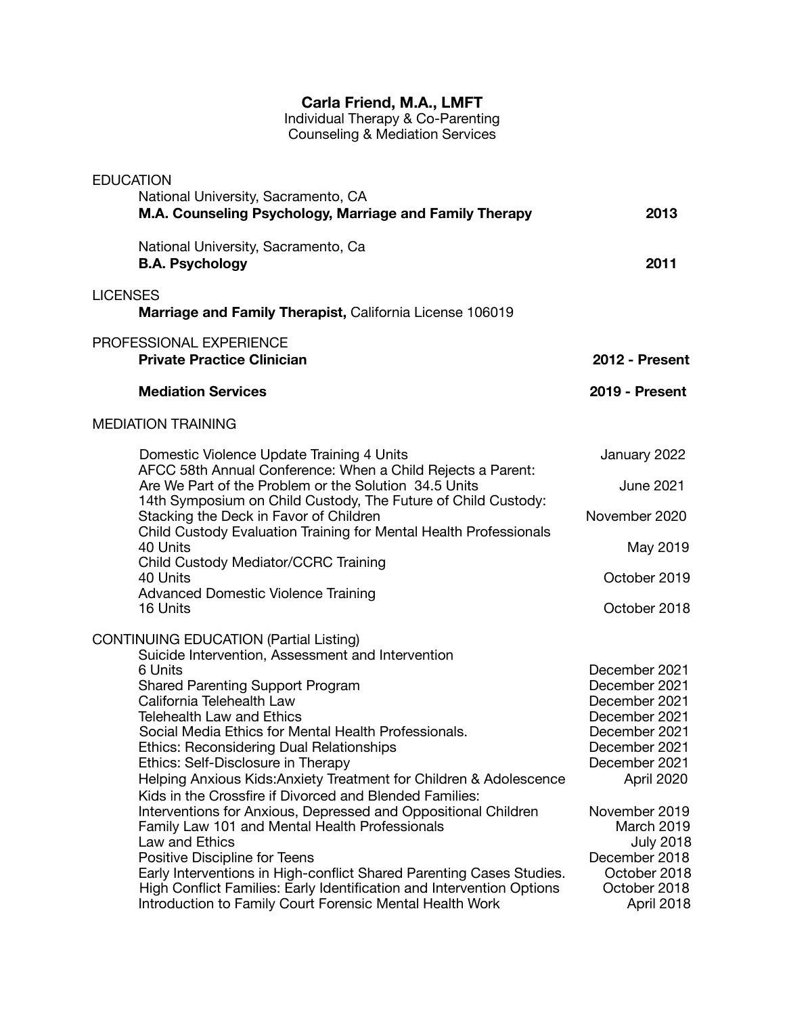## **Carla Friend, M.A., LMFT**

Individual Therapy & Co-Parenting Counseling & Mediation Services

| <b>EDUCATION</b>                                                                                                              |                       |
|-------------------------------------------------------------------------------------------------------------------------------|-----------------------|
| National University, Sacramento, CA<br>M.A. Counseling Psychology, Marriage and Family Therapy                                | 2013                  |
| National University, Sacramento, Ca<br><b>B.A. Psychology</b>                                                                 | 2011                  |
| <b>LICENSES</b><br>Marriage and Family Therapist, California License 106019                                                   |                       |
| PROFESSIONAL EXPERIENCE<br><b>Private Practice Clinician</b>                                                                  | 2012 - Present        |
| <b>Mediation Services</b>                                                                                                     | <b>2019 - Present</b> |
| <b>MEDIATION TRAINING</b>                                                                                                     |                       |
| Domestic Violence Update Training 4 Units<br>AFCC 58th Annual Conference: When a Child Rejects a Parent:                      | January 2022          |
| Are We Part of the Problem or the Solution 34.5 Units<br>14th Symposium on Child Custody, The Future of Child Custody:        | <b>June 2021</b>      |
| Stacking the Deck in Favor of Children<br>Child Custody Evaluation Training for Mental Health Professionals                   | November 2020         |
| 40 Units<br>Child Custody Mediator/CCRC Training                                                                              | May 2019              |
| 40 Units<br><b>Advanced Domestic Violence Training</b>                                                                        | October 2019          |
| 16 Units                                                                                                                      | October 2018          |
| <b>CONTINUING EDUCATION (Partial Listing)</b><br>Suicide Intervention, Assessment and Intervention                            |                       |
| 6 Units                                                                                                                       | December 2021         |
| <b>Shared Parenting Support Program</b>                                                                                       | December 2021         |
| California Telehealth Law                                                                                                     | December 2021         |
| <b>Telehealth Law and Ethics</b>                                                                                              | December 2021         |
| Social Media Ethics for Mental Health Professionals.                                                                          | December 2021         |
| <b>Ethics: Reconsidering Dual Relationships</b>                                                                               | December 2021         |
| Ethics: Self-Disclosure in Therapy                                                                                            | December 2021         |
| Helping Anxious Kids: Anxiety Treatment for Children & Adolescence<br>Kids in the Crossfire if Divorced and Blended Families: | April 2020            |
| Interventions for Anxious, Depressed and Oppositional Children                                                                | November 2019         |
| Family Law 101 and Mental Health Professionals                                                                                | <b>March 2019</b>     |
| Law and Ethics                                                                                                                | <b>July 2018</b>      |
| Positive Discipline for Teens                                                                                                 | December 2018         |
| Early Interventions in High-conflict Shared Parenting Cases Studies.                                                          | October 2018          |
| High Conflict Families: Early Identification and Intervention Options                                                         | October 2018          |
| Introduction to Family Court Forensic Mental Health Work                                                                      | April 2018            |